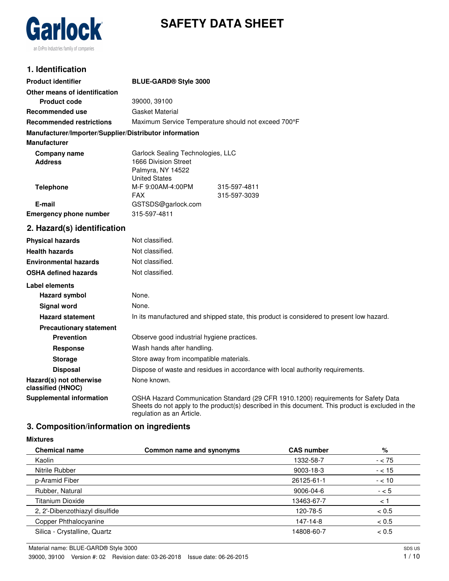



### **1. Identification**

| <b>Product identifier</b>                              | <b>BLUE-GARD® Style 3000</b>                                                                                                                                                                                         |  |  |
|--------------------------------------------------------|----------------------------------------------------------------------------------------------------------------------------------------------------------------------------------------------------------------------|--|--|
| Other means of identification                          |                                                                                                                                                                                                                      |  |  |
| <b>Product code</b>                                    | 39000, 39100                                                                                                                                                                                                         |  |  |
| Recommended use                                        | Gasket Material                                                                                                                                                                                                      |  |  |
| <b>Recommended restrictions</b>                        | Maximum Service Temperature should not exceed 700°F                                                                                                                                                                  |  |  |
| Manufacturer/Importer/Supplier/Distributor information |                                                                                                                                                                                                                      |  |  |
| <b>Manufacturer</b>                                    |                                                                                                                                                                                                                      |  |  |
| Company name                                           | Garlock Sealing Technologies, LLC                                                                                                                                                                                    |  |  |
| <b>Address</b>                                         | 1666 Division Street                                                                                                                                                                                                 |  |  |
|                                                        | Palmyra, NY 14522<br><b>United States</b>                                                                                                                                                                            |  |  |
| <b>Telephone</b>                                       | M-F 9:00AM-4:00PM<br>315-597-4811                                                                                                                                                                                    |  |  |
|                                                        | <b>FAX</b><br>315-597-3039                                                                                                                                                                                           |  |  |
| E-mail                                                 | GSTSDS@garlock.com                                                                                                                                                                                                   |  |  |
| <b>Emergency phone number</b>                          | 315-597-4811                                                                                                                                                                                                         |  |  |
| 2. Hazard(s) identification                            |                                                                                                                                                                                                                      |  |  |
| <b>Physical hazards</b>                                | Not classified.                                                                                                                                                                                                      |  |  |
| <b>Health hazards</b>                                  | Not classified.                                                                                                                                                                                                      |  |  |
| <b>Environmental hazards</b>                           | Not classified.                                                                                                                                                                                                      |  |  |
| <b>OSHA defined hazards</b>                            | Not classified.                                                                                                                                                                                                      |  |  |
| Label elements                                         |                                                                                                                                                                                                                      |  |  |
| <b>Hazard symbol</b>                                   | None.                                                                                                                                                                                                                |  |  |
| <b>Signal word</b>                                     | None.                                                                                                                                                                                                                |  |  |
| <b>Hazard statement</b>                                | In its manufactured and shipped state, this product is considered to present low hazard.                                                                                                                             |  |  |
| <b>Precautionary statement</b>                         |                                                                                                                                                                                                                      |  |  |
| <b>Prevention</b>                                      | Observe good industrial hygiene practices.                                                                                                                                                                           |  |  |
| Response                                               | Wash hands after handling.                                                                                                                                                                                           |  |  |
| <b>Storage</b>                                         | Store away from incompatible materials.                                                                                                                                                                              |  |  |
| <b>Disposal</b>                                        | Dispose of waste and residues in accordance with local authority requirements.                                                                                                                                       |  |  |
| Hazard(s) not otherwise<br>classified (HNOC)           | None known.                                                                                                                                                                                                          |  |  |
| <b>Supplemental information</b>                        | OSHA Hazard Communication Standard (29 CFR 1910.1200) requirements for Safety Data<br>Sheets do not apply to the product(s) described in this document. This product is excluded in the<br>regulation as an Article. |  |  |

### **3. Composition/information on ingredients**

#### **Mixtures**

| <b>Chemical name</b>           | Common name and synonyms | <b>CAS number</b> | %        |
|--------------------------------|--------------------------|-------------------|----------|
| Kaolin                         |                          | 1332-58-7         | $- < 75$ |
| Nitrile Rubber                 |                          | $9003 - 18 - 3$   | $- < 15$ |
| p-Aramid Fiber                 |                          | 26125-61-1        | $- < 10$ |
| Rubber, Natural                |                          | 9006-04-6         | $- < 5$  |
| Titanium Dioxide               |                          | 13463-67-7        | $\lt$ .  |
| 2, 2'-Dibenzothiazyl disulfide |                          | 120-78-5          | < 0.5    |
| Copper Phthalocyanine          |                          | 147-14-8          | < 0.5    |
| Silica - Crystalline, Quartz   |                          | 14808-60-7        | < 0.5    |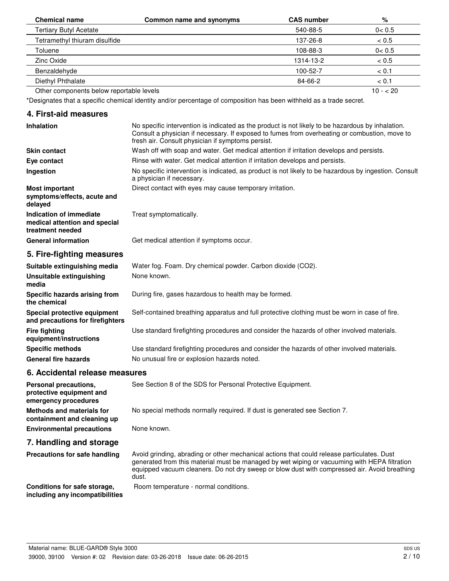| <b>Chemical name</b>                     | Common name and synonyms | <b>CAS number</b> | %         |
|------------------------------------------|--------------------------|-------------------|-----------|
| <b>Tertiary Butyl Acetate</b>            |                          | 540-88-5          | 0 < 0.5   |
| Tetramethyl thiuram disulfide            |                          | 137-26-8          | ~< 0.5    |
| Toluene                                  |                          | 108-88-3          | 0 < 0.5   |
| Zinc Oxide                               |                          | 1314-13-2         | ~< 0.5    |
| Benzaldehyde                             |                          | 100-52-7          | < 0.1     |
| Diethyl Phthalate                        |                          | 84-66-2           | < 0.1     |
| Other components below reportable levels |                          |                   | $10 - 20$ |

\*Designates that a specific chemical identity and/or percentage of composition has been withheld as a trade secret.

#### **4. First-aid measures**

| <b>Inhalation</b>                                                            | No specific intervention is indicated as the product is not likely to be hazardous by inhalation.<br>Consult a physician if necessary. If exposed to fumes from overheating or combustion, move to<br>fresh air. Consult physician if symptoms persist. |
|------------------------------------------------------------------------------|---------------------------------------------------------------------------------------------------------------------------------------------------------------------------------------------------------------------------------------------------------|
| <b>Skin contact</b>                                                          | Wash off with soap and water. Get medical attention if irritation develops and persists.                                                                                                                                                                |
| Eye contact                                                                  | Rinse with water. Get medical attention if irritation develops and persists.                                                                                                                                                                            |
| Ingestion                                                                    | No specific intervention is indicated, as product is not likely to be hazardous by ingestion. Consult<br>a physician if necessary.                                                                                                                      |
| <b>Most important</b><br>symptoms/effects, acute and<br>delayed              | Direct contact with eyes may cause temporary irritation.                                                                                                                                                                                                |
| Indication of immediate<br>medical attention and special<br>treatment needed | Treat symptomatically.                                                                                                                                                                                                                                  |
| <b>General information</b>                                                   | Get medical attention if symptoms occur.                                                                                                                                                                                                                |
| 5. Fire-fighting measures                                                    |                                                                                                                                                                                                                                                         |
| Suitable extinguishing media                                                 | Water fog. Foam. Dry chemical powder. Carbon dioxide (CO2).                                                                                                                                                                                             |
| Unsuitable extinguishing<br>media                                            | None known.                                                                                                                                                                                                                                             |
|                                                                              |                                                                                                                                                                                                                                                         |

**Specific hazards arising from** During fire, gases hazardous to health may be formed.

**Special protective equipment** Self-contained breathing apparatus and full protective clothing must be worn in case of fire. **and precautions for firefighters**

**Fire fighting** Use standard firefighting procedures and consider the hazards of other involved materials.

**Specific methods** Use standard firefighting procedures and consider the hazards of other involved materials. General fire hazards **No unusual fire or explosion hazards noted.** 

#### **6. Accidental release measures**

**the chemical**

**equipment/instructions**

**protective equipment and emergency procedures**

**Personal precautions, See Section 8 of the SDS for Personal Protective Equipment.** 

**Methods and materials for** No special methods normally required. If dust is generated see Section 7.

**Environmental precautions** None known.

#### **7. Handling and storage**

**containment and cleaning up**

**Precautions for safe handling**

Avoid grinding, abrading or other mechanical actions that could release particulates. Dust generated from this material must be managed by wet wiping or vacuuming with HEPA filtration equipped vacuum cleaners. Do not dry sweep or blow dust with compressed air. Avoid breathing dust.

**Conditions for safe storage, Boom temperature - normal conditions.** 

**including any incompatibilities**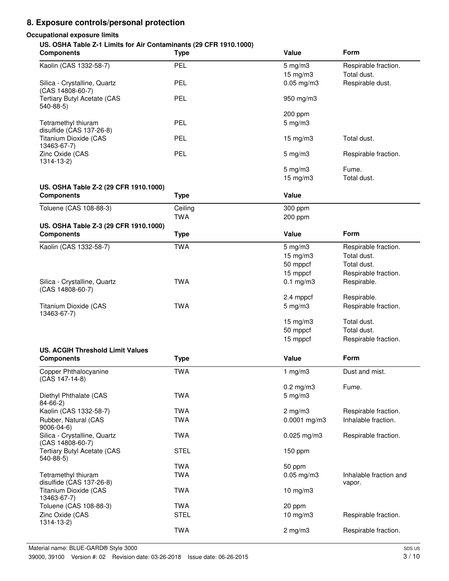# **8. Exposure controls/personal protection**

# **Occupational exposure limits**

#### **US. OSHA Table Z-1 Limits for Air Contaminants (29 CFR 1910.1000)**

| <b>Components</b>                                          | <b>Type</b> | Value                               | Form                             |
|------------------------------------------------------------|-------------|-------------------------------------|----------------------------------|
| Kaolin (CAS 1332-58-7)                                     | PEL         | $5 \text{ mg/m}$ 3                  | Respirable fraction.             |
|                                                            |             | 15 mg/m3                            | Total dust.                      |
| Silica - Crystalline, Quartz<br>(CAS 14808-60-7)           | PEL         | $0.05$ mg/m $3$                     | Respirable dust.                 |
| <b>Tertiary Butyl Acetate (CAS</b><br>540-88-5)            | PEL         | 950 mg/m3                           |                                  |
| Tetramethyl thiuram                                        | PEL         | 200 ppm<br>$5$ mg/m $3$             |                                  |
| disulfide (CAS 137-26-8)<br>Titanium Dioxide (CAS          | PEL         | 15 mg/m3                            | Total dust.                      |
| 13463-67-7)                                                |             |                                     |                                  |
| Zinc Oxide (CAS<br>$1314 - 13 - 2$                         | <b>PEL</b>  | $5$ mg/m $3$                        | Respirable fraction.             |
|                                                            |             | $5$ mg/m $3$<br>$15 \text{ mg/m}$ 3 | Fume.<br>Total dust.             |
| US. OSHA Table Z-2 (29 CFR 1910.1000)                      |             |                                     |                                  |
| <b>Components</b>                                          | <b>Type</b> | Value                               |                                  |
| Toluene (CAS 108-88-3)                                     | Ceiling     | 300 ppm                             |                                  |
|                                                            | <b>TWA</b>  | 200 ppm                             |                                  |
| US. OSHA Table Z-3 (29 CFR 1910.1000)<br><b>Components</b> | <b>Type</b> | Value                               | <b>Form</b>                      |
| Kaolin (CAS 1332-58-7)                                     | <b>TWA</b>  | $5 \text{ mg/m}$ 3                  | Respirable fraction.             |
|                                                            |             | 15 mg/m3                            | Total dust.                      |
|                                                            |             | 50 mppcf                            | Total dust.                      |
|                                                            |             | 15 mppcf                            | Respirable fraction.             |
| Silica - Crystalline, Quartz                               | <b>TWA</b>  | $0.1$ mg/m $3$                      | Respirable.                      |
| (CAS 14808-60-7)                                           |             |                                     |                                  |
|                                                            |             | 2.4 mppcf                           | Respirable.                      |
| Titanium Dioxide (CAS<br>13463-67-7)                       | <b>TWA</b>  | $5$ mg/m $3$                        | Respirable fraction.             |
|                                                            |             | 15 mg/m3                            | Total dust.                      |
|                                                            |             | 50 mppcf                            | Total dust.                      |
|                                                            |             | 15 mppcf                            | Respirable fraction.             |
| <b>US. ACGIH Threshold Limit Values</b>                    |             |                                     |                                  |
| <b>Components</b>                                          | <b>Type</b> | Value                               | Form                             |
| Copper Phthalocyanine<br>(CAS 147-14-8)                    | <b>TWA</b>  | 1 $mg/m3$                           | Dust and mist.                   |
|                                                            |             | $0.2$ mg/m $3$                      | Fume.                            |
| Diethyl Phthalate (CAS<br>$84 - 66 - 2$                    | <b>TWA</b>  | $5$ mg/m $3$                        |                                  |
| Kaolin (CAS 1332-58-7)                                     | <b>TWA</b>  | $2$ mg/m $3$                        | Respirable fraction.             |
| Rubber, Natural (CAS<br>9006-04-6)                         | <b>TWA</b>  | $0.0001$ mg/m3                      | Inhalable fraction.              |
| Silica - Crystalline, Quartz<br>(CAS 14808-60-7)           | <b>TWA</b>  | $0.025$ mg/m3                       | Respirable fraction.             |
| <b>Tertiary Butyl Acetate (CAS</b><br>540-88-5)            | <b>STEL</b> | 150 ppm                             |                                  |
|                                                            | <b>TWA</b>  | 50 ppm                              |                                  |
| Tetramethyl thiuram<br>disulfide (CAS 137-26-8)            | <b>TWA</b>  | $0.05$ mg/m $3$                     | Inhalable fraction and<br>vapor. |
| Titanium Dioxide (CAS<br>13463-67-7)                       | <b>TWA</b>  | 10 mg/m3                            |                                  |
| Toluene (CAS 108-88-3)                                     | <b>TWA</b>  | 20 ppm                              |                                  |
| Zinc Oxide (CAS<br>$1314 - 13 - 2$                         | <b>STEL</b> | 10 mg/m3                            | Respirable fraction.             |
|                                                            | <b>TWA</b>  | $2$ mg/m $3$                        | Respirable fraction.             |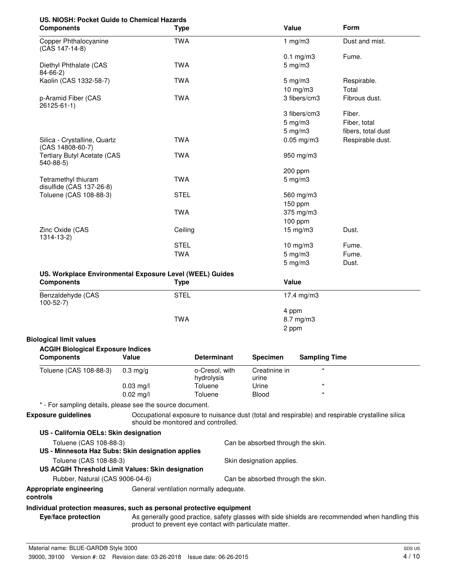# **US. NIOSH: Pocket Guide to Chemical Hazards**

| <b>Components</b>                                | <b>Type</b> | Value                | <b>Form</b>        |
|--------------------------------------------------|-------------|----------------------|--------------------|
| Copper Phthalocyanine<br>(CAS 147-14-8)          | <b>TWA</b>  | 1 mg/m $3$           | Dust and mist.     |
|                                                  |             | $0.1 \text{ mg/m}$ 3 | Fume.              |
| Diethyl Phthalate (CAS<br>$84 - 66 - 2$          | <b>TWA</b>  | $5 \text{ mg/m}$ 3   |                    |
| Kaolin (CAS 1332-58-7)                           | <b>TWA</b>  | $5 \text{ mg/m}$ 3   | Respirable.        |
|                                                  |             | 10 mg/m3             | Total              |
| p-Aramid Fiber (CAS<br>26125-61-1)               | <b>TWA</b>  | 3 fibers/cm3         | Fibrous dust.      |
|                                                  |             | 3 fibers/cm3         | Fiber.             |
|                                                  |             | $5$ mg/m $3$         | Fiber, total       |
|                                                  |             | $5 \text{ mg/m}$ 3   | fibers, total dust |
| Silica - Crystalline, Quartz<br>(CAS 14808-60-7) | <b>TWA</b>  | $0.05$ mg/m $3$      | Respirable dust.   |
| <b>Tertiary Butyl Acetate (CAS</b><br>$540-88-5$ | <b>TWA</b>  | 950 mg/m3            |                    |
|                                                  |             | 200 ppm              |                    |
| Tetramethyl thiuram<br>disulfide (CAS 137-26-8)  | <b>TWA</b>  | $5 \text{ mg/m}$ 3   |                    |
| Toluene (CAS 108-88-3)                           | <b>STEL</b> | 560 mg/m3            |                    |
|                                                  |             | $150$ ppm            |                    |
|                                                  | <b>TWA</b>  | 375 mg/m3            |                    |
|                                                  |             | $100$ ppm            |                    |
| Zinc Oxide (CAS<br>$1314 - 13 - 2$               | Ceiling     | $15 \text{ mg/m}$    | Dust.              |
|                                                  | <b>STEL</b> | $10$ mg/m $3$        | Fume.              |
|                                                  | <b>TWA</b>  | $5$ mg/m $3$         | Fume.              |
|                                                  |             | $5 \text{ mg/m}$ 3   | Dust.              |
|                                                  |             |                      |                    |

#### **US. Workplace Environmental Exposure Level (WEEL) Guides**

| <b>Components</b>                   | Type        | <b>Value</b> |  |
|-------------------------------------|-------------|--------------|--|
| Benzaldehyde (CAS<br>$100 - 52 - 7$ | <b>STEL</b> | 17.4 mg/m3   |  |
|                                     |             | 4 ppm        |  |
|                                     | TWA         | 8.7 mg/m3    |  |
|                                     |             | 2 ppm        |  |

#### **Biological limit values**

| <b>ACGIH Biological Exposure Indices</b> |                      |                              |                        |                      |  |
|------------------------------------------|----------------------|------------------------------|------------------------|----------------------|--|
| <b>Components</b>                        | Value                | <b>Determinant</b>           | <b>Specimen</b>        | <b>Sampling Time</b> |  |
| Toluene (CAS 108-88-3)                   | $0.3 \text{ ma/q}$   | o-Cresol, with<br>hydrolysis | Creatinine in<br>urine |                      |  |
|                                          | $0.03 \text{ ma/l}$  | Toluene                      | Urine                  | *                    |  |
|                                          | $0.02 \text{ m}$ g/l | Toluene                      | <b>Blood</b>           | $\ast$               |  |

\* - For sampling details, please see the source document.

**Exposure guidelines**

Occupational exposure to nuisance dust (total and respirable) and respirable crystalline silica should be monitored and controlled.

| US - California OELs: Skin designation                                |                                        |                                   |
|-----------------------------------------------------------------------|----------------------------------------|-----------------------------------|
| Toluene (CAS 108-88-3)                                                |                                        | Can be absorbed through the skin. |
| US - Minnesota Haz Subs: Skin designation applies                     |                                        |                                   |
| Toluene (CAS 108-88-3)                                                |                                        | Skin designation applies.         |
| US ACGIH Threshold Limit Values: Skin designation                     |                                        |                                   |
| Rubber, Natural (CAS 9006-04-6)                                       |                                        | Can be absorbed through the skin. |
| Appropriate engineering<br>controls                                   | General ventilation normally adequate. |                                   |
| Individual protection measures, such as personal protective equipment |                                        |                                   |

As generally good practice, safety glasses with side shields are recommended when handling this product to prevent eye contact with particulate matter. **Eye/face protection**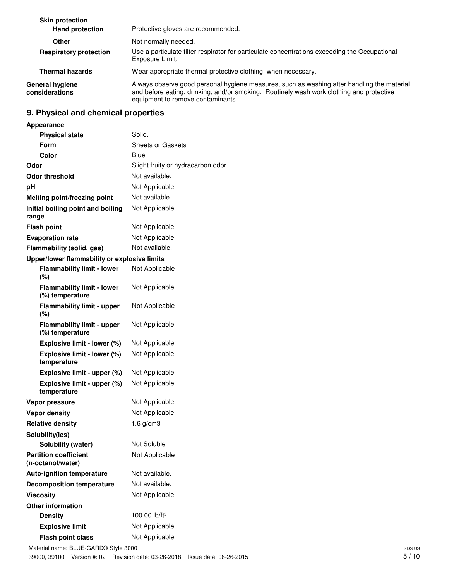| <b>Skin protection</b><br><b>Hand protection</b> | Protective gloves are recommended.                                                                                                                                                                                          |
|--------------------------------------------------|-----------------------------------------------------------------------------------------------------------------------------------------------------------------------------------------------------------------------------|
| Other                                            | Not normally needed.                                                                                                                                                                                                        |
| <b>Respiratory protection</b>                    | Use a particulate filter respirator for particulate concentrations exceeding the Occupational<br>Exposure Limit.                                                                                                            |
| <b>Thermal hazards</b>                           | Wear appropriate thermal protective clothing, when necessary.                                                                                                                                                               |
| General hygiene<br>considerations                | Always observe good personal hygiene measures, such as washing after handling the material<br>and before eating, drinking, and/or smoking. Routinely wash work clothing and protective<br>equipment to remove contaminants. |

# **9. Physical and chemical properties**

| <b>Appearance</b>                                    |                                    |
|------------------------------------------------------|------------------------------------|
| <b>Physical state</b>                                | Solid.                             |
| Form                                                 | Sheets or Gaskets                  |
| Color                                                | Blue                               |
| Odor                                                 | Slight fruity or hydracarbon odor. |
| Odor threshold                                       | Not available.                     |
| рH                                                   | Not Applicable                     |
| Melting point/freezing point                         | Not available.                     |
| Initial boiling point and boiling<br>range           | Not Applicable                     |
| <b>Flash point</b>                                   | Not Applicable                     |
| <b>Evaporation rate</b>                              | Not Applicable                     |
| Flammability (solid, gas)                            | Not available.                     |
| Upper/lower flammability or explosive limits         |                                    |
| <b>Flammability limit - lower</b><br>$(\%)$          | Not Applicable                     |
| <b>Flammability limit - lower</b><br>(%) temperature | Not Applicable                     |
| <b>Flammability limit - upper</b><br>$(\%)$          | Not Applicable                     |
| <b>Flammability limit - upper</b><br>(%) temperature | Not Applicable                     |
| Explosive limit - lower (%)                          | Not Applicable                     |
| Explosive limit - lower (%)<br>temperature           | Not Applicable                     |
| Explosive limit - upper (%)                          | Not Applicable                     |
| Explosive limit - upper (%)<br>temperature           | Not Applicable                     |
| Vapor pressure                                       | Not Applicable                     |
| <b>Vapor density</b>                                 | Not Applicable                     |
| <b>Relative density</b>                              | 1.6 $g/cm3$                        |
| Solubility(ies)                                      |                                    |
| Solubility (water)                                   | Not Soluble                        |
| <b>Partition coefficient</b><br>(n-octanol/water)    | Not Applicable                     |
| <b>Auto-ignition temperature</b>                     | Not available.                     |
| <b>Decomposition temperature</b>                     | Not available.                     |
| <b>Viscosity</b>                                     | Not Applicable                     |
| <b>Other information</b>                             |                                    |
| <b>Density</b>                                       | 100.00 lb/ft <sup>3</sup>          |
| <b>Explosive limit</b>                               | Not Applicable                     |
| <b>Flash point class</b>                             | Not Applicable                     |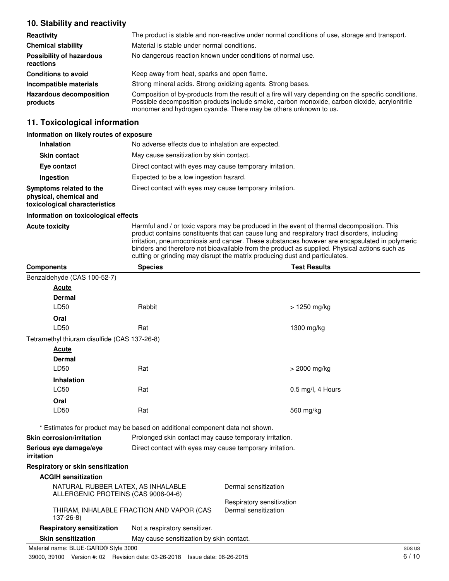### **10. Stability and reactivity**

| Reactivity                                   | The product is stable and non-reactive under normal conditions of use, storage and transport.                                                                                                                                                                             |
|----------------------------------------------|---------------------------------------------------------------------------------------------------------------------------------------------------------------------------------------------------------------------------------------------------------------------------|
| <b>Chemical stability</b>                    | Material is stable under normal conditions.                                                                                                                                                                                                                               |
| <b>Possibility of hazardous</b><br>reactions | No dangerous reaction known under conditions of normal use.                                                                                                                                                                                                               |
| <b>Conditions to avoid</b>                   | Keep away from heat, sparks and open flame.                                                                                                                                                                                                                               |
| Incompatible materials                       | Strong mineral acids. Strong oxidizing agents. Strong bases.                                                                                                                                                                                                              |
| <b>Hazardous decomposition</b><br>products   | Composition of by-products from the result of a fire will vary depending on the specific conditions.<br>Possible decomposition products include smoke, carbon monoxide, carbon dioxide, acrylonitrile<br>monomer and hydrogen cyanide. There may be others unknown to us. |

### **11. Toxicological information**

#### **Information on likely routes of exposure**

| <b>Inhalation</b>                                                                  | No adverse effects due to inhalation are expected.       |
|------------------------------------------------------------------------------------|----------------------------------------------------------|
| <b>Skin contact</b>                                                                | May cause sensitization by skin contact.                 |
| Eye contact                                                                        | Direct contact with eyes may cause temporary irritation. |
| <b>Ingestion</b>                                                                   | Expected to be a low ingestion hazard.                   |
| Symptoms related to the<br>physical, chemical and<br>toxicological characteristics | Direct contact with eyes may cause temporary irritation. |

#### **Information on toxicological effects**

Acute toxicity **Harmful and / or toxic vapors may be produced in the event of thermal decomposition. This** product contains constituents that can cause lung and respiratory tract disorders, including irritation, pneumoconiosis and cancer. These substances however are encapsulated in polymeric binders and therefore not bioavailable from the product as supplied. Physical actions such as cutting or grinding may disrupt the matrix producing dust and particulates.

| <b>Components</b>                                                         | <b>Species</b>                                                               | <b>Test Results</b>       |
|---------------------------------------------------------------------------|------------------------------------------------------------------------------|---------------------------|
| Benzaldehyde (CAS 100-52-7)                                               |                                                                              |                           |
| <b>Acute</b>                                                              |                                                                              |                           |
| <b>Dermal</b>                                                             |                                                                              |                           |
| LD50                                                                      | Rabbit                                                                       | > 1250 mg/kg              |
| Oral                                                                      |                                                                              |                           |
| LD50                                                                      | Rat                                                                          | 1300 mg/kg                |
| Tetramethyl thiuram disulfide (CAS 137-26-8)                              |                                                                              |                           |
| <b>Acute</b>                                                              |                                                                              |                           |
| <b>Dermal</b>                                                             |                                                                              |                           |
| LD50                                                                      | Rat                                                                          | > 2000 mg/kg              |
| <b>Inhalation</b>                                                         |                                                                              |                           |
| <b>LC50</b>                                                               | Rat                                                                          | $0.5$ mg/l, 4 Hours       |
| Oral                                                                      |                                                                              |                           |
| LD50                                                                      | Rat                                                                          | 560 mg/kg                 |
|                                                                           | * Estimates for product may be based on additional component data not shown. |                           |
| Skin corrosion/irritation                                                 | Prolonged skin contact may cause temporary irritation.                       |                           |
| Serious eye damage/eye<br><i>irritation</i>                               | Direct contact with eyes may cause temporary irritation.                     |                           |
| Respiratory or skin sensitization                                         |                                                                              |                           |
| <b>ACGIH sensitization</b>                                                |                                                                              |                           |
| NATURAL RUBBER LATEX, AS INHALABLE<br>ALLERGENIC PROTEINS (CAS 9006-04-6) |                                                                              | Dermal sensitization      |
|                                                                           |                                                                              | Respiratory sensitization |
| $137 - 26 - 8$                                                            | THIRAM, INHALABLE FRACTION AND VAPOR (CAS                                    | Dermal sensitization      |
| <b>Respiratory sensitization</b>                                          | Not a respiratory sensitizer.                                                |                           |
| <b>Skin sensitization</b>                                                 | May cause sensitization by skin contact.                                     |                           |
| Material name: BLUE-GARD® Style 3000                                      |                                                                              | SDS US                    |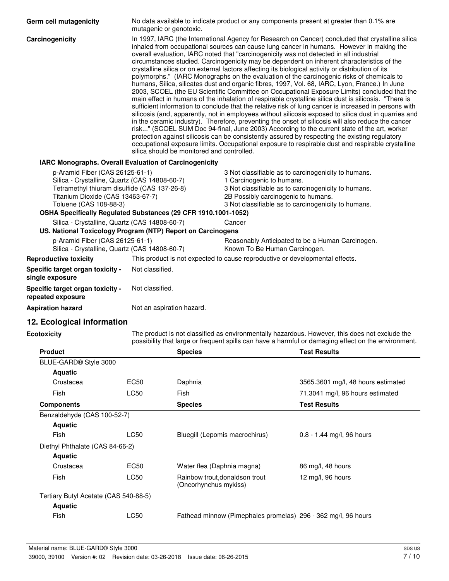| Germ cell mutagenicity                                                                                                                                                                          | No data available to indicate product or any components present at greater than 0.1% are<br>mutagenic or genotoxic.                                                                                                                                                                                                                                                                                                                                                                                                                                                                                                                                                                                                                                                                                                                                                                                                                                                                                                                                                                                                                                                                                                                                                                                                                                                                                                                                                                                                                                                              |                                                                                                                                                                                                                                       |        |                                                                                                                                                                                                       |
|-------------------------------------------------------------------------------------------------------------------------------------------------------------------------------------------------|----------------------------------------------------------------------------------------------------------------------------------------------------------------------------------------------------------------------------------------------------------------------------------------------------------------------------------------------------------------------------------------------------------------------------------------------------------------------------------------------------------------------------------------------------------------------------------------------------------------------------------------------------------------------------------------------------------------------------------------------------------------------------------------------------------------------------------------------------------------------------------------------------------------------------------------------------------------------------------------------------------------------------------------------------------------------------------------------------------------------------------------------------------------------------------------------------------------------------------------------------------------------------------------------------------------------------------------------------------------------------------------------------------------------------------------------------------------------------------------------------------------------------------------------------------------------------------|---------------------------------------------------------------------------------------------------------------------------------------------------------------------------------------------------------------------------------------|--------|-------------------------------------------------------------------------------------------------------------------------------------------------------------------------------------------------------|
| Carcinogenicity                                                                                                                                                                                 | In 1997, IARC (the International Agency for Research on Cancer) concluded that crystalline silica<br>inhaled from occupational sources can cause lung cancer in humans. However in making the<br>overall evaluation, IARC noted that "carcinogenicity was not detected in all industrial<br>circumstances studied. Carcinogenicity may be dependent on inherent characteristics of the<br>crystalline silica or on external factors affecting its biological activity or distribution of its<br>polymorphs." (IARC Monographs on the evaluation of the carcinogenic risks of chemicals to<br>humans, Silica, silicates dust and organic fibres, 1997, Vol. 68, IARC, Lyon, France.) In June<br>2003, SCOEL (the EU Scientific Committee on Occupational Exposure Limits) concluded that the<br>main effect in humans of the inhalation of respirable crystalline silica dust is silicosis. "There is<br>sufficient information to conclude that the relative risk of lung cancer is increased in persons with<br>silicosis (and, apparently, not in employees without silicosis exposed to silica dust in quarries and<br>in the ceramic industry). Therefore, preventing the onset of silicosis will also reduce the cancer<br>risk" (SCOEL SUM Doc 94-final, June 2003) According to the current state of the art, worker<br>protection against silicosis can be consistently assured by respecting the existing regulatory<br>occupational exposure limits. Occupational exposure to respirable dust and respirable crystalline<br>silica should be monitored and controlled. |                                                                                                                                                                                                                                       |        |                                                                                                                                                                                                       |
| <b>IARC Monographs. Overall Evaluation of Carcinogenicity</b>                                                                                                                                   |                                                                                                                                                                                                                                                                                                                                                                                                                                                                                                                                                                                                                                                                                                                                                                                                                                                                                                                                                                                                                                                                                                                                                                                                                                                                                                                                                                                                                                                                                                                                                                                  |                                                                                                                                                                                                                                       |        |                                                                                                                                                                                                       |
| p-Aramid Fiber (CAS 26125-61-1)<br>Silica - Crystalline, Quartz (CAS 14808-60-7)<br>Tetramethyl thiuram disulfide (CAS 137-26-8)<br>Titanium Dioxide (CAS 13463-67-7)<br>Toluene (CAS 108-88-3) |                                                                                                                                                                                                                                                                                                                                                                                                                                                                                                                                                                                                                                                                                                                                                                                                                                                                                                                                                                                                                                                                                                                                                                                                                                                                                                                                                                                                                                                                                                                                                                                  | 3 Not classifiable as to carcinogenicity to humans.<br>1 Carcinogenic to humans.<br>3 Not classifiable as to carcinogenicity to humans.<br>2B Possibly carcinogenic to humans.<br>3 Not classifiable as to carcinogenicity to humans. |        |                                                                                                                                                                                                       |
| OSHA Specifically Regulated Substances (29 CFR 1910.1001-1052)                                                                                                                                  |                                                                                                                                                                                                                                                                                                                                                                                                                                                                                                                                                                                                                                                                                                                                                                                                                                                                                                                                                                                                                                                                                                                                                                                                                                                                                                                                                                                                                                                                                                                                                                                  |                                                                                                                                                                                                                                       |        |                                                                                                                                                                                                       |
| Silica - Crystalline, Quartz (CAS 14808-60-7)<br>US. National Toxicology Program (NTP) Report on Carcinogens                                                                                    |                                                                                                                                                                                                                                                                                                                                                                                                                                                                                                                                                                                                                                                                                                                                                                                                                                                                                                                                                                                                                                                                                                                                                                                                                                                                                                                                                                                                                                                                                                                                                                                  |                                                                                                                                                                                                                                       | Cancer |                                                                                                                                                                                                       |
| p-Aramid Fiber (CAS 26125-61-1)<br>Silica - Crystalline, Quartz (CAS 14808-60-7)                                                                                                                |                                                                                                                                                                                                                                                                                                                                                                                                                                                                                                                                                                                                                                                                                                                                                                                                                                                                                                                                                                                                                                                                                                                                                                                                                                                                                                                                                                                                                                                                                                                                                                                  | Reasonably Anticipated to be a Human Carcinogen.<br>Known To Be Human Carcinogen.                                                                                                                                                     |        |                                                                                                                                                                                                       |
| <b>Reproductive toxicity</b>                                                                                                                                                                    | This product is not expected to cause reproductive or developmental effects.                                                                                                                                                                                                                                                                                                                                                                                                                                                                                                                                                                                                                                                                                                                                                                                                                                                                                                                                                                                                                                                                                                                                                                                                                                                                                                                                                                                                                                                                                                     |                                                                                                                                                                                                                                       |        |                                                                                                                                                                                                       |
| Specific target organ toxicity -<br>single exposure                                                                                                                                             | Not classified.                                                                                                                                                                                                                                                                                                                                                                                                                                                                                                                                                                                                                                                                                                                                                                                                                                                                                                                                                                                                                                                                                                                                                                                                                                                                                                                                                                                                                                                                                                                                                                  |                                                                                                                                                                                                                                       |        |                                                                                                                                                                                                       |
| Specific target organ toxicity -<br>repeated exposure                                                                                                                                           | Not classified.                                                                                                                                                                                                                                                                                                                                                                                                                                                                                                                                                                                                                                                                                                                                                                                                                                                                                                                                                                                                                                                                                                                                                                                                                                                                                                                                                                                                                                                                                                                                                                  |                                                                                                                                                                                                                                       |        |                                                                                                                                                                                                       |
| <b>Aspiration hazard</b>                                                                                                                                                                        | Not an aspiration hazard.                                                                                                                                                                                                                                                                                                                                                                                                                                                                                                                                                                                                                                                                                                                                                                                                                                                                                                                                                                                                                                                                                                                                                                                                                                                                                                                                                                                                                                                                                                                                                        |                                                                                                                                                                                                                                       |        |                                                                                                                                                                                                       |
| 12. Ecological information                                                                                                                                                                      |                                                                                                                                                                                                                                                                                                                                                                                                                                                                                                                                                                                                                                                                                                                                                                                                                                                                                                                                                                                                                                                                                                                                                                                                                                                                                                                                                                                                                                                                                                                                                                                  |                                                                                                                                                                                                                                       |        |                                                                                                                                                                                                       |
| Ecotoxicity                                                                                                                                                                                     |                                                                                                                                                                                                                                                                                                                                                                                                                                                                                                                                                                                                                                                                                                                                                                                                                                                                                                                                                                                                                                                                                                                                                                                                                                                                                                                                                                                                                                                                                                                                                                                  |                                                                                                                                                                                                                                       |        | The product is not classified as environmentally hazardous. However, this does not exclude the<br>possibility that large or frequent spills can have a harmful or damaging effect on the environment. |
| <b>Product</b>                                                                                                                                                                                  |                                                                                                                                                                                                                                                                                                                                                                                                                                                                                                                                                                                                                                                                                                                                                                                                                                                                                                                                                                                                                                                                                                                                                                                                                                                                                                                                                                                                                                                                                                                                                                                  | <b>Species</b>                                                                                                                                                                                                                        |        | <b>Test Results</b>                                                                                                                                                                                   |
| BLUE-GARD® Style 3000                                                                                                                                                                           |                                                                                                                                                                                                                                                                                                                                                                                                                                                                                                                                                                                                                                                                                                                                                                                                                                                                                                                                                                                                                                                                                                                                                                                                                                                                                                                                                                                                                                                                                                                                                                                  |                                                                                                                                                                                                                                       |        |                                                                                                                                                                                                       |
| <b>Aquatic</b>                                                                                                                                                                                  |                                                                                                                                                                                                                                                                                                                                                                                                                                                                                                                                                                                                                                                                                                                                                                                                                                                                                                                                                                                                                                                                                                                                                                                                                                                                                                                                                                                                                                                                                                                                                                                  |                                                                                                                                                                                                                                       |        |                                                                                                                                                                                                       |
| Crustacea                                                                                                                                                                                       | EC50                                                                                                                                                                                                                                                                                                                                                                                                                                                                                                                                                                                                                                                                                                                                                                                                                                                                                                                                                                                                                                                                                                                                                                                                                                                                                                                                                                                                                                                                                                                                                                             | Daphnia                                                                                                                                                                                                                               |        | 3565.3601 mg/l, 48 hours estimated                                                                                                                                                                    |
| Fish                                                                                                                                                                                            | <b>LC50</b>                                                                                                                                                                                                                                                                                                                                                                                                                                                                                                                                                                                                                                                                                                                                                                                                                                                                                                                                                                                                                                                                                                                                                                                                                                                                                                                                                                                                                                                                                                                                                                      | Fish                                                                                                                                                                                                                                  |        | 71.3041 mg/l, 96 hours estimated                                                                                                                                                                      |

| <b>Aquatic</b>                        |      |                                                               |                             |
|---------------------------------------|------|---------------------------------------------------------------|-----------------------------|
| Fish                                  | LC50 | Bluegill (Lepomis macrochirus)                                | $0.8 - 1.44$ mg/l, 96 hours |
| Diethyl Phthalate (CAS 84-66-2)       |      |                                                               |                             |
| <b>Aquatic</b>                        |      |                                                               |                             |
| Crustacea                             | EC50 | Water flea (Daphnia magna)                                    | 86 mg/l, 48 hours           |
| Fish                                  | LC50 | Rainbow trout, donaldson trout<br>(Oncorhynchus mykiss)       | 12 mg/l, 96 hours           |
| Tertiary Butyl Acetate (CAS 540-88-5) |      |                                                               |                             |
| <b>Aquatic</b>                        |      |                                                               |                             |
| Fish                                  | LC50 | Fathead minnow (Pimephales promelas) 296 - 362 mg/l, 96 hours |                             |
|                                       |      |                                                               |                             |

**Components Components Components Species Test Results** 

Benzaldehyde (CAS 100-52-7)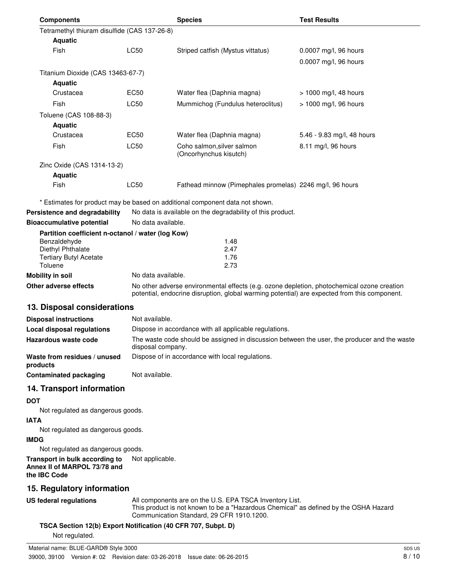| <b>Components</b>                                  |                    | <b>Species</b>                                                               | <b>Test Results</b>        |
|----------------------------------------------------|--------------------|------------------------------------------------------------------------------|----------------------------|
| Tetramethyl thiuram disulfide (CAS 137-26-8)       |                    |                                                                              |                            |
| <b>Aquatic</b>                                     |                    |                                                                              |                            |
| <b>Fish</b>                                        | <b>LC50</b>        | Striped catfish (Mystus vittatus)                                            | 0.0007 mg/l, 96 hours      |
|                                                    |                    |                                                                              | 0.0007 mg/l, 96 hours      |
| Titanium Dioxide (CAS 13463-67-7)                  |                    |                                                                              |                            |
| <b>Aquatic</b>                                     |                    |                                                                              |                            |
| Crustacea                                          | EC <sub>50</sub>   | Water flea (Daphnia magna)                                                   | > 1000 mg/l, 48 hours      |
| Fish                                               | <b>LC50</b>        | Mummichog (Fundulus heteroclitus)                                            | > 1000 mg/l, 96 hours      |
| Toluene (CAS 108-88-3)                             |                    |                                                                              |                            |
| <b>Aquatic</b>                                     |                    |                                                                              |                            |
| Crustacea                                          | EC <sub>50</sub>   | Water flea (Daphnia magna)                                                   | 5.46 - 9.83 mg/l, 48 hours |
| Fish                                               | LC50               | Coho salmon, silver salmon<br>(Oncorhynchus kisutch)                         | 8.11 mg/l, 96 hours        |
| Zinc Oxide (CAS 1314-13-2)                         |                    |                                                                              |                            |
| <b>Aquatic</b>                                     |                    |                                                                              |                            |
| Fish                                               | LC50               | Fathead minnow (Pimephales promelas) 2246 mg/l, 96 hours                     |                            |
|                                                    |                    | * Estimates for product may be based on additional component data not shown. |                            |
| Persistence and degradability                      |                    | No data is available on the degradability of this product.                   |                            |
| <b>Bioaccumulative potential</b>                   |                    | No data available.                                                           |                            |
| Partition coefficient n-octanol / water (log Kow)  |                    |                                                                              |                            |
| Benzaldehyde                                       |                    | 1.48                                                                         |                            |
| Diethyl Phthalate<br><b>Tertiary Butyl Acetate</b> |                    | 2.47<br>1.76                                                                 |                            |
| Toluene                                            |                    | 2.73                                                                         |                            |
| <b>Mobility in soil</b>                            | No data available. |                                                                              |                            |
|                                                    |                    |                                                                              |                            |

**Other adverse effects** No other adverse environmental effects (e.g. ozone depletion, photochemical ozone creation potential, endocrine disruption, global warming potential) are expected from this component.

### **13. Disposal considerations**

| <b>Disposal instructions</b>             | Not available.                                                                                                    |
|------------------------------------------|-------------------------------------------------------------------------------------------------------------------|
| Local disposal regulations               | Dispose in accordance with all applicable regulations.                                                            |
| Hazardous waste code                     | The waste code should be assigned in discussion between the user, the producer and the waste<br>disposal company. |
| Waste from residues / unused<br>products | Dispose of in accordance with local regulations.                                                                  |
| <b>Contaminated packaging</b>            | Not available.                                                                                                    |

### **14. Transport information**

### **DOT**

Not regulated as dangerous goods.

### **IATA**

Not regulated as dangerous goods.

### **IMDG**

Not regulated as dangerous goods.

#### **Transport in bulk according to** Not applicable. **Annex II of MARPOL 73/78 and the IBC Code**

# **15. Regulatory information**

**US federal regulations**

#### All components are on the U.S. EPA TSCA Inventory List. This product is not known to be a "Hazardous Chemical" as defined by the OSHA Hazard Communication Standard, 29 CFR 1910.1200.

#### **TSCA Section 12(b) Export Notification (40 CFR 707, Subpt. D)**

Not regulated.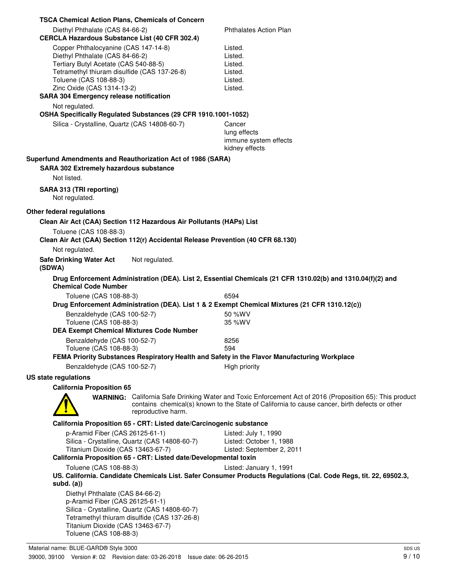| <b>TSCA Chemical Action Plans, Chemicals of Concern</b>                                                                                                                                                                                                                                                                                                                                                         |                                                                                                                                                                                                           |
|-----------------------------------------------------------------------------------------------------------------------------------------------------------------------------------------------------------------------------------------------------------------------------------------------------------------------------------------------------------------------------------------------------------------|-----------------------------------------------------------------------------------------------------------------------------------------------------------------------------------------------------------|
| Diethyl Phthalate (CAS 84-66-2)<br><b>CERCLA Hazardous Substance List (40 CFR 302.4)</b>                                                                                                                                                                                                                                                                                                                        | <b>Phthalates Action Plan</b>                                                                                                                                                                             |
| Copper Phthalocyanine (CAS 147-14-8)<br>Diethyl Phthalate (CAS 84-66-2)<br>Tertiary Butyl Acetate (CAS 540-88-5)<br>Tetramethyl thiuram disulfide (CAS 137-26-8)<br>Toluene (CAS 108-88-3)<br>Zinc Oxide (CAS 1314-13-2)<br><b>SARA 304 Emergency release notification</b><br>Not regulated.<br>OSHA Specifically Regulated Substances (29 CFR 1910.1001-1052)<br>Silica - Crystalline, Quartz (CAS 14808-60-7) | Listed.<br>Listed.<br>Listed.<br>Listed.<br>Listed.<br>Listed.<br>Cancer                                                                                                                                  |
|                                                                                                                                                                                                                                                                                                                                                                                                                 | lung effects<br>immune system effects<br>kidney effects                                                                                                                                                   |
| Superfund Amendments and Reauthorization Act of 1986 (SARA)<br><b>SARA 302 Extremely hazardous substance</b><br>Not listed.                                                                                                                                                                                                                                                                                     |                                                                                                                                                                                                           |
| SARA 313 (TRI reporting)<br>Not regulated.                                                                                                                                                                                                                                                                                                                                                                      |                                                                                                                                                                                                           |
| Other federal regulations                                                                                                                                                                                                                                                                                                                                                                                       |                                                                                                                                                                                                           |
| Clean Air Act (CAA) Section 112 Hazardous Air Pollutants (HAPs) List                                                                                                                                                                                                                                                                                                                                            |                                                                                                                                                                                                           |
| Toluene (CAS 108-88-3)                                                                                                                                                                                                                                                                                                                                                                                          |                                                                                                                                                                                                           |
| Clean Air Act (CAA) Section 112(r) Accidental Release Prevention (40 CFR 68.130)                                                                                                                                                                                                                                                                                                                                |                                                                                                                                                                                                           |
| Not regulated.<br><b>Safe Drinking Water Act</b><br>Not regulated.<br>(SDWA)                                                                                                                                                                                                                                                                                                                                    |                                                                                                                                                                                                           |
| <b>Chemical Code Number</b>                                                                                                                                                                                                                                                                                                                                                                                     | Drug Enforcement Administration (DEA). List 2, Essential Chemicals (21 CFR 1310.02(b) and 1310.04(f)(2) and                                                                                               |
| Toluene (CAS 108-88-3)<br>Drug Enforcement Administration (DEA). List 1 & 2 Exempt Chemical Mixtures (21 CFR 1310.12(c))                                                                                                                                                                                                                                                                                        | 6594                                                                                                                                                                                                      |
| Benzaldehyde (CAS 100-52-7)                                                                                                                                                                                                                                                                                                                                                                                     | 50 %WV                                                                                                                                                                                                    |
| Toluene (CAS 108-88-3)                                                                                                                                                                                                                                                                                                                                                                                          | 35 %WV                                                                                                                                                                                                    |
| <b>DEA Exempt Chemical Mixtures Code Number</b>                                                                                                                                                                                                                                                                                                                                                                 |                                                                                                                                                                                                           |
| Benzaldehyde (CAS 100-52-7)<br>Toluene (CAS 108-88-3)<br>FEMA Priority Substances Respiratory Health and Safety in the Flavor Manufacturing Workplace                                                                                                                                                                                                                                                           | 8256<br>594                                                                                                                                                                                               |
| Benzaldehyde (CAS 100-52-7)                                                                                                                                                                                                                                                                                                                                                                                     | High priority                                                                                                                                                                                             |
| US state regulations                                                                                                                                                                                                                                                                                                                                                                                            |                                                                                                                                                                                                           |
| <b>California Proposition 65</b>                                                                                                                                                                                                                                                                                                                                                                                |                                                                                                                                                                                                           |
| reproductive harm.                                                                                                                                                                                                                                                                                                                                                                                              | WARNING: California Safe Drinking Water and Toxic Enforcement Act of 2016 (Proposition 65): This product<br>contains chemical(s) known to the State of California to cause cancer, birth defects or other |
| California Proposition 65 - CRT: Listed date/Carcinogenic substance                                                                                                                                                                                                                                                                                                                                             |                                                                                                                                                                                                           |
| p-Aramid Fiber (CAS 26125-61-1)<br>Silica - Crystalline, Quartz (CAS 14808-60-7)<br>Titanium Dioxide (CAS 13463-67-7)<br>California Proposition 65 - CRT: Listed date/Developmental toxin                                                                                                                                                                                                                       | Listed: July 1, 1990<br>Listed: October 1, 1988<br>Listed: September 2, 2011                                                                                                                              |
| Toluene (CAS 108-88-3)<br>subd. $(a)$                                                                                                                                                                                                                                                                                                                                                                           | Listed: January 1, 1991<br>US. California. Candidate Chemicals List. Safer Consumer Products Regulations (Cal. Code Regs, tit. 22, 69502.3,                                                               |
| Diethyl Phthalate (CAS 84-66-2)<br>p-Aramid Fiber (CAS 26125-61-1)<br>Silica - Crystalline, Quartz (CAS 14808-60-7)<br>Tetramethyl thiuram disulfide (CAS 137-26-8)<br>Titanium Dioxide (CAS 13463-67-7)<br>Toluene (CAS 108-88-3)                                                                                                                                                                              |                                                                                                                                                                                                           |